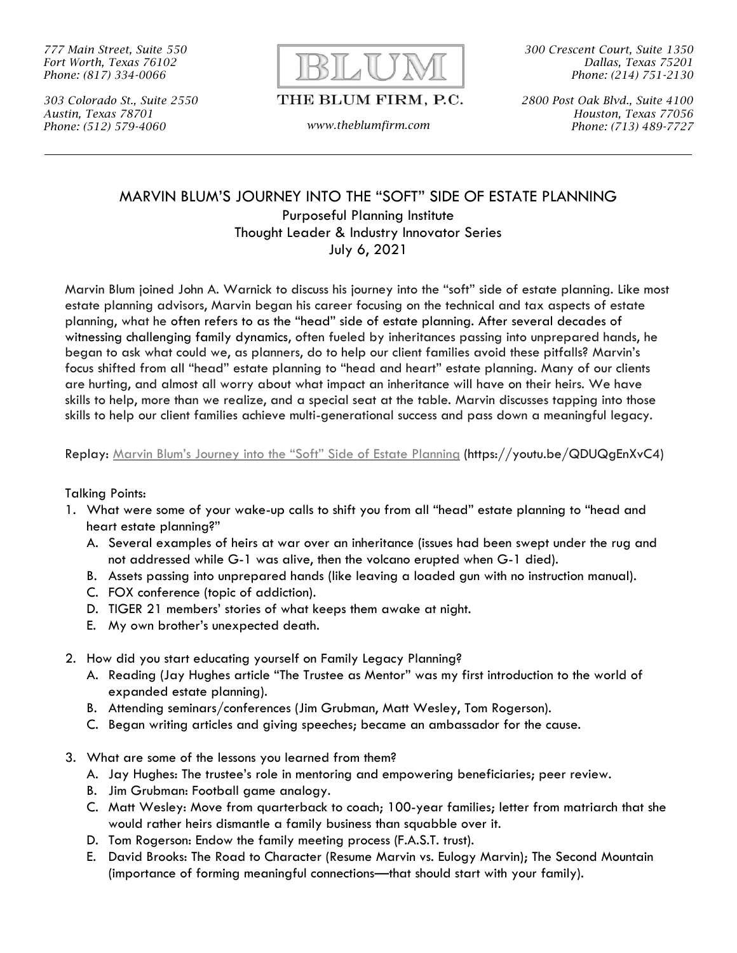*777 Main Street, Suite 550 Fort Worth, Texas 76102 Phone: (817) 334-0066*

*303 Colorado St., Suite 2550 Austin, Texas 78701 Phone: (512) 579-4060 www.theblumfirm.com*



THE BLUM FIRM, P.C.

*300 Crescent Court, Suite 1350 Dallas, Texas 75201 Phone: (214) 751-2130*

*2800 Post Oak Blvd., Suite 4100 Houston, Texas 77056 Phone: (713) 489-7727*

#### MARVIN BLUM'S JOURNEY INTO THE "SOFT" SIDE OF ESTATE PLANNING Purposeful Planning Institute Thought Leader & Industry Innovator Series July 6, 2021

Marvin Blum joined John A. Warnick to discuss his journey into the "soft" side of estate planning. Like most estate planning advisors, Marvin began his career focusing on the technical and tax aspects of estate planning, what he often refers to as the "head" side of estate planning. After several decades of witnessing challenging family dynamics, often fueled by inheritances passing into unprepared hands, he began to ask what could we, as planners, do to help our client families avoid these pitfalls? Marvin's focus shifted from all "head" estate planning to "head and heart" estate planning. Many of our clients are hurting, and almost all worry about what impact an inheritance will have on their heirs. We have skills to help, more than we realize, and a special seat at the table. Marvin discusses tapping into those skills to help our client families achieve multi-generational success and pass down a meaningful legacy.

Replay: Marvin Blum's Journey into the ["Soft" Side of Estate](Marvin%20Blum’s%20Journey%20into%20the%20“Soft”%20Side%20of%20Estate%20Planning) Planning (https://youtu.be/QDUQgEnXvC4)

#### Talking Points:

- 1. What were some of your wake-up calls to shift you from all "head" estate planning to "head and heart estate planning?"
	- A. Several examples of heirs at war over an inheritance (issues had been swept under the rug and not addressed while G-1 was alive, then the volcano erupted when G-1 died).
	- B. Assets passing into unprepared hands (like leaving a loaded gun with no instruction manual).
	- C. FOX conference (topic of addiction).
	- D. TIGER 21 members' stories of what keeps them awake at night.
	- E. My own brother's unexpected death.
- 2. How did you start educating yourself on Family Legacy Planning?
	- A. Reading (Jay Hughes article "The Trustee as Mentor" was my first introduction to the world of expanded estate planning).
	- B. Attending seminars/conferences (Jim Grubman, Matt Wesley, Tom Rogerson).
	- C. Began writing articles and giving speeches; became an ambassador for the cause.
- 3. What are some of the lessons you learned from them?
	- A. Jay Hughes: The trustee's role in mentoring and empowering beneficiaries; peer review.
	- B. Jim Grubman: Football game analogy.
	- C. Matt Wesley: Move from quarterback to coach; 100-year families; letter from matriarch that she would rather heirs dismantle a family business than squabble over it.
	- D. Tom Rogerson: Endow the family meeting process (F.A.S.T. trust).
	- E. David Brooks: The Road to Character (Resume Marvin vs. Eulogy Marvin); The Second Mountain (importance of forming meaningful connections—that should start with your family).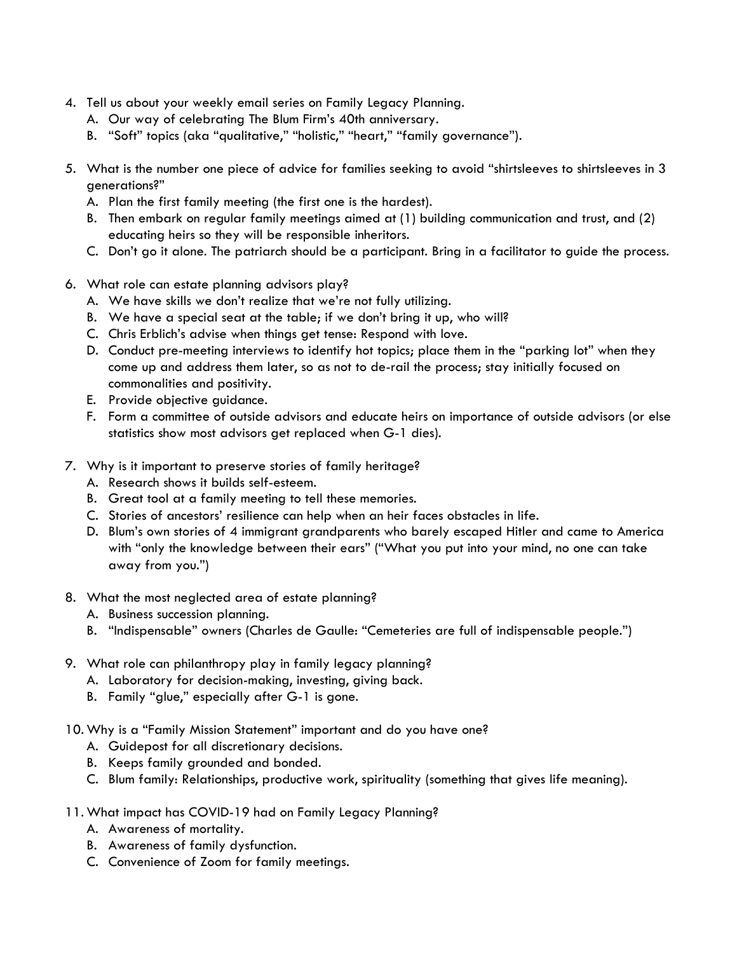- 4. Tell us about your weekly email series on Family Legacy Planning.
	- A. Our way of celebrating The Blum Firm's 40th anniversary.
	- B. "Soft" topics (aka "qualitative," "holistic," "heart," "family governance").
- 5. What is the number one piece of advice for families seeking to avoid "shirtsleeves to shirtsleeves in 3 generations?"
	- A. Plan the first family meeting (the first one is the hardest).
	- B. Then embark on regular family meetings aimed at (1) building communication and trust, and (2) educating heirs so they will be responsible inheritors.
	- C. Don't go it alone. The patriarch should be a participant. Bring in a facilitator to guide the process.
- 6. What role can estate planning advisors play?
	- A. We have skills we don't realize that we're not fully utilizing.
	- B. We have a special seat at the table; if we don't bring it up, who will?
	- C. Chris Erblich's advise when things get tense: Respond with love.
	- D. Conduct pre-meeting interviews to identify hot topics; place them in the "parking lot" when they come up and address them later, so as not to de-rail the process; stay initially focused on commonalities and positivity.
	- E. Provide objective guidance.
	- F. Form a committee of outside advisors and educate heirs on importance of outside advisors (or else statistics show most advisors get replaced when G-1 dies).
- 7. Why is it important to preserve stories of family heritage?
	- A. Research shows it builds self-esteem.
	- B. Great tool at a family meeting to tell these memories.
	- C. Stories of ancestors' resilience can help when an heir faces obstacles in life.
	- D. Blum's own stories of 4 immigrant grandparents who barely escaped Hitler and came to America with "only the knowledge between their ears" ("What you put into your mind, no one can take away from you.")
- 8. What the most neglected area of estate planning?
	- A. Business succession planning.
	- B. "Indispensable" owners (Charles de Gaulle: "Cemeteries are full of indispensable people.")
- 9. What role can philanthropy play in family legacy planning?
	- A. Laboratory for decision-making, investing, giving back.
	- B. Family "glue," especially after G-1 is gone.
- 10. Why is a "Family Mission Statement" important and do you have one?
	- A. Guidepost for all discretionary decisions.
	- B. Keeps family grounded and bonded.
	- C. Blum family: Relationships, productive work, spirituality (something that gives life meaning).
- 11. What impact has COVID-19 had on Family Legacy Planning?
	- A. Awareness of mortality.
	- B. Awareness of family dysfunction.
	- C. Convenience of Zoom for family meetings.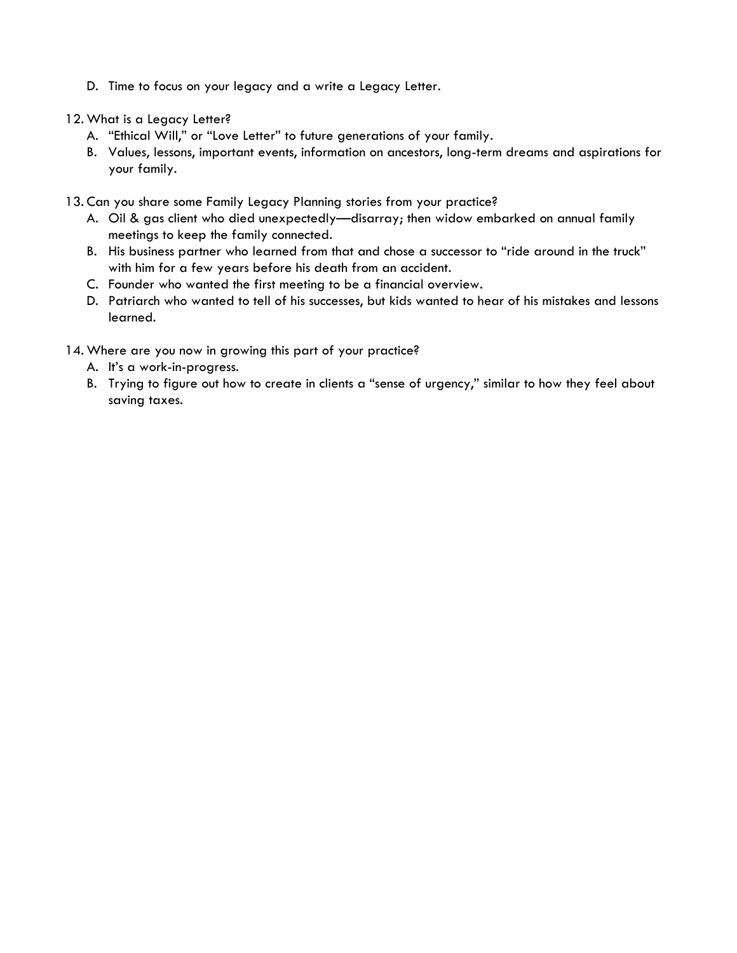- D. Time to focus on your legacy and a write a Legacy Letter.
- 12. What is a Legacy Letter?
	- A. "Ethical Will," or "Love Letter" to future generations of your family.
	- B. Values, lessons, important events, information on ancestors, long-term dreams and aspirations for your family.
- 13. Can you share some Family Legacy Planning stories from your practice?
	- A. Oil & gas client who died unexpectedly—disarray; then widow embarked on annual family meetings to keep the family connected.
	- B. His business partner who learned from that and chose a successor to "ride around in the truck" with him for a few years before his death from an accident.
	- C. Founder who wanted the first meeting to be a financial overview.
	- D. Patriarch who wanted to tell of his successes, but kids wanted to hear of his mistakes and lessons learned.
- 14. Where are you now in growing this part of your practice?
	- A. It's a work-in-progress.
	- B. Trying to figure out how to create in clients a "sense of urgency," similar to how they feel about saving taxes.